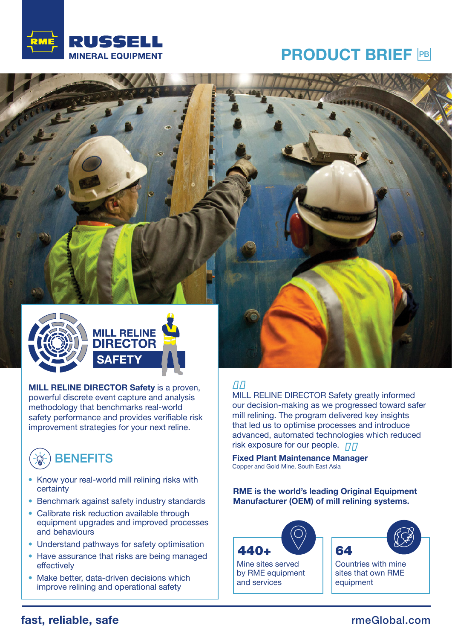

# **PRODUCT BRIEF** PB



**MILL RELINE DIRECTOR Safety** is a proven, powerful discrete event capture and analysis methodology that benchmarks real-world safety performance and provides verifiable risk improvement strategies for your next reline.



- Know your real-world mill relining risks with certainty
- Benchmark against safety industry standards
- Calibrate risk reduction available through equipment upgrades and improved processes and behaviours
- Understand pathways for safety optimisation
- Have assurance that risks are being managed effectively
- Make better, data-driven decisions which improve relining and operational safety

### ΔД

MILL RELINE DIRECTOR Safety greatly informed our decision-making as we progressed toward safer mill relining. The program delivered key insights that led us to optimise processes and introduce advanced, automated technologies which reduced risk exposure for our people.  $\Pi$ 

**Fixed Plant Maintenance Manager** Copper and Gold Mine, South East Asia

**RME is the world's leading Original Equipment Manufacturer (OEM) of mill relining systems.**



### **fast, reliable, safe** reliable reliable and reliable and reliable reliable reliable to the reliable reliable reliable reliable reliable reliable reliable reliable reliable reliable reliable reliable reliable reliable reli